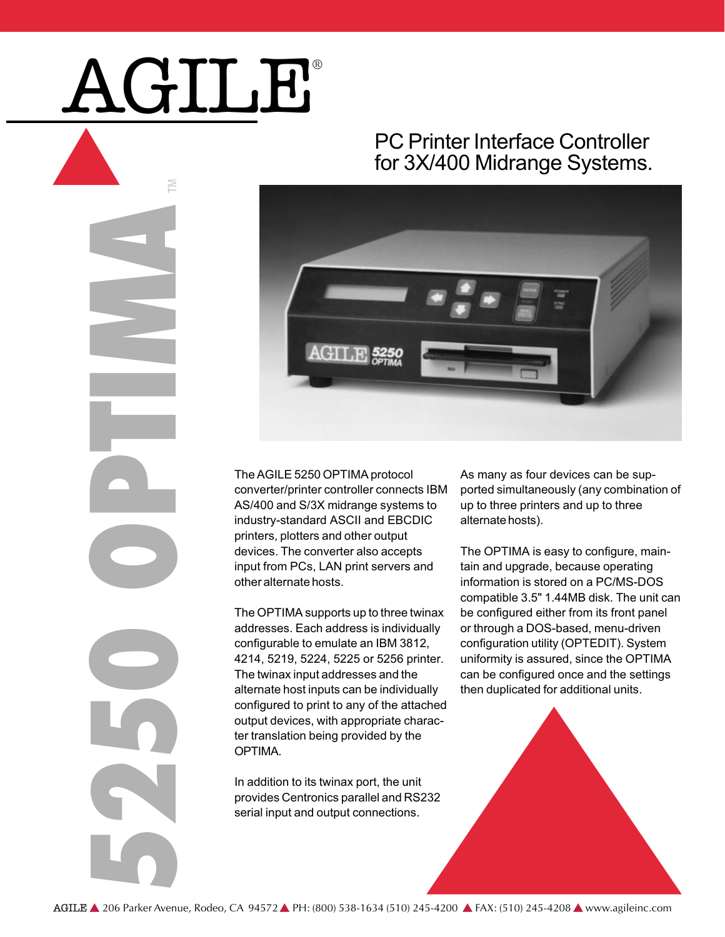# AGILE®

P

5250 OPTIMA

# PC Printer Interface Controller for 3X/400 Midrange Systems.



The AGILE 5250 OPTIMA protocol converter/printer controller connects IBM AS/400 and S/3X midrange systems to industry-standard ASCII and EBCDIC printers, plotters and other output devices. The converter also accepts input from PCs, LAN print servers and other alternate hosts.

The OPTIMA supports up to three twinax addresses. Each address is individually configurable to emulate an IBM 3812, 4214, 5219, 5224, 5225 or 5256 printer. The twinax input addresses and the alternate host inputs can be individually configured to print to any of the attached output devices, with appropriate character translation being provided by the **OPTIMA** 

In addition to its twinax port, the unit provides Centronics parallel and RS232 serial input and output connections.

As many as four devices can be supported simultaneously (any combination of up to three printers and up to three alternate hosts).

The OPTIMA is easy to configure, maintain and upgrade, because operating information is stored on a PC/MS-DOS compatible 3.5" 1.44MB disk. The unit can be configured either from its front panel or through a DOS-based, menu-driven configuration utility (OPTEDIT). System uniformity is assured, since the OPTIMA can be configured once and the settings then duplicated for additional units.